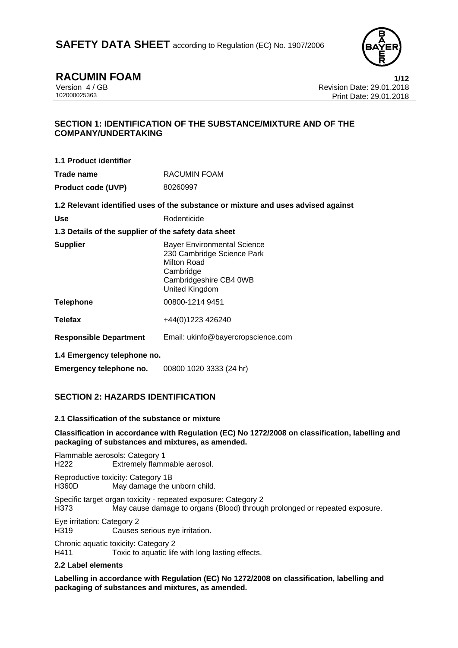

# **RACUMIN FOAM 1/12**

Version 4 / GB Revision Date: 29.01.2018 Print Date: 29.01.2018

## **SECTION 1: IDENTIFICATION OF THE SUBSTANCE/MIXTURE AND OF THE COMPANY/UNDERTAKING**

| 1.1 Product identifier                                                            |              |
|-----------------------------------------------------------------------------------|--------------|
| Trade name                                                                        | RACUMIN FOAM |
| <b>Product code (UVP)</b>                                                         | 80260997     |
| 1.2 Relevant identified uses of the substance or mixture and uses advised against |              |
| . .                                                                               |              |

Use **Constanting Constanting Products** Rodenticide

## **1.3 Details of the supplier of the safety data sheet**

| <b>Supplier</b>               | <b>Bayer Environmental Science</b><br>230 Cambridge Science Park<br>Milton Road<br>Cambridge<br>Cambridgeshire CB4 0WB<br>United Kingdom |
|-------------------------------|------------------------------------------------------------------------------------------------------------------------------------------|
| <b>Telephone</b>              | 00800-1214 9451                                                                                                                          |
| <b>Telefax</b>                | +44(0)1223 426240                                                                                                                        |
| <b>Responsible Department</b> | Email: ukinfo@bayercropscience.com                                                                                                       |

**1.4 Emergency telephone no.** 

**Emergency telephone no.** 00800 1020 3333 (24 hr)

## **SECTION 2: HAZARDS IDENTIFICATION**

## **2.1 Classification of the substance or mixture**

## **Classification in accordance with Regulation (EC) No 1272/2008 on classification, labelling and packaging of substances and mixtures, as amended.**

Flammable aerosols: Category 1 H222 Extremely flammable aerosol.

Reproductive toxicity: Category 1B H360D May damage the unborn child.

Specific target organ toxicity - repeated exposure: Category 2 H373 May cause damage to organs (Blood) through prolonged or repeated exposure.

Eye irritation: Category 2

H319 Causes serious eye irritation.

Chronic aquatic toxicity: Category 2 H411 Toxic to aquatic life with long lasting effects.

## **2.2 Label elements**

**Labelling in accordance with Regulation (EC) No 1272/2008 on classification, labelling and packaging of substances and mixtures, as amended.**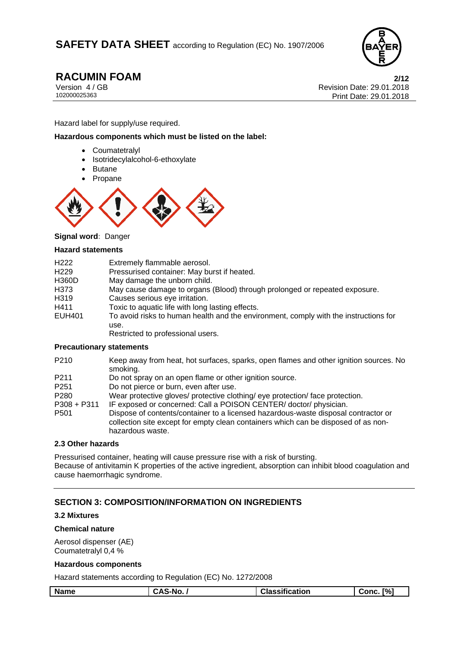

**RACUMIN FOAM** 2/12<br>Version 4/GB 29.01.2018 Version 4 / GB Revision Date: 29.01.2018 Print Date: 29.01.2018

Hazard label for supply/use required.

**Hazardous components which must be listed on the label:** 

- Coumatetralyl
- Isotridecylalcohol-6-ethoxylate
- Butane
- Propane



**Signal word:** Danger

#### **Hazard statements**

| H <sub>222</sub> | Extremely flammable aerosol.                                                                 |
|------------------|----------------------------------------------------------------------------------------------|
| H <sub>229</sub> | Pressurised container: May burst if heated.                                                  |
| <b>H360D</b>     | May damage the unborn child.                                                                 |
| H373             | May cause damage to organs (Blood) through prolonged or repeated exposure.                   |
| H319             | Causes serious eye irritation.                                                               |
| H411             | Toxic to aquatic life with long lasting effects.                                             |
| <b>EUH401</b>    | To avoid risks to human health and the environment, comply with the instructions for<br>use. |
|                  | Restricted to professional users.                                                            |

#### **Precautionary statements**

| P <sub>210</sub>  | Keep away from heat, hot surfaces, sparks, open flames and other ignition sources. No<br>smoking.                                                                                            |
|-------------------|----------------------------------------------------------------------------------------------------------------------------------------------------------------------------------------------|
| P <sub>2</sub> 11 | Do not spray on an open flame or other ignition source.                                                                                                                                      |
| P <sub>251</sub>  | Do not pierce or burn, even after use.                                                                                                                                                       |
| P <sub>280</sub>  | Wear protective gloves/ protective clothing/ eye protection/ face protection.                                                                                                                |
| $P308 + P311$     | IF exposed or concerned: Call a POISON CENTER/doctor/physician.                                                                                                                              |
| P <sub>501</sub>  | Dispose of contents/container to a licensed hazardous-waste disposal contractor or<br>collection site except for empty clean containers which can be disposed of as non-<br>hazardous waste. |

## **2.3 Other hazards**

Pressurised container, heating will cause pressure rise with a risk of bursting. Because of antivitamin K properties of the active ingredient, absorption can inhibit blood coagulation and cause haemorrhagic syndrome.

## **SECTION 3: COMPOSITION/INFORMATION ON INGREDIENTS**

#### **3.2 Mixtures**

#### **Chemical nature**

Aerosol dispenser (AE) Coumatetralyl 0,4 %

#### **Hazardous components**

Hazard statements according to Regulation (EC) No. 1272/2008

| <b>Name</b> | `-No.<br>יי | <b>Classification</b> | $\Gamma\%$<br>Conc |
|-------------|-------------|-----------------------|--------------------|
|             |             |                       |                    |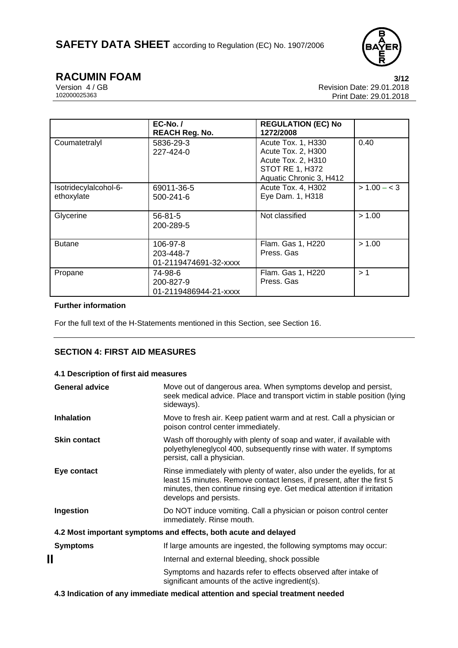

**RACUMIN FOAM** 3/12<br>Version 4/GB 8/12 Revision Date: 29.01.2018 Version 4 / GB Revision Date: 29.01.2018 Print Date: 29.01.2018

|                                     | $EC-No.$ /<br><b>REACH Reg. No.</b>            | <b>REGULATION (EC) No</b><br>1272/2008                                                                              |                |
|-------------------------------------|------------------------------------------------|---------------------------------------------------------------------------------------------------------------------|----------------|
| Coumatetralyl                       | 5836-29-3<br>$227 - 424 - 0$                   | Acute Tox. 1, H330<br>Acute Tox. 2, H300<br>Acute Tox. 2, H310<br><b>STOT RE 1, H372</b><br>Aquatic Chronic 3, H412 | 0.40           |
| Isotridecylalcohol-6-<br>ethoxylate | 69011-36-5<br>500-241-6                        | Acute Tox. 4, H302<br>Eye Dam. 1, H318                                                                              | $> 1.00 - < 3$ |
| Glycerine                           | $56 - 81 - 5$<br>200-289-5                     | Not classified                                                                                                      | > 1.00         |
| <b>Butane</b>                       | 106-97-8<br>203-448-7<br>01-2119474691-32-xxxx | Flam. Gas 1, H220<br>Press, Gas                                                                                     | > 1.00         |
| Propane                             | 74-98-6<br>200-827-9<br>01-2119486944-21-xxxx  | Flam. Gas 1, H220<br>Press, Gas                                                                                     | >1             |

## **Further information**

For the full text of the H-Statements mentioned in this Section, see Section 16.

## **SECTION 4: FIRST AID MEASURES**

## **4.1 Description of first aid measures**

| <b>General advice</b> | Move out of dangerous area. When symptoms develop and persist,<br>seek medical advice. Place and transport victim in stable position (lying<br>sideways).                                                                                             |
|-----------------------|-------------------------------------------------------------------------------------------------------------------------------------------------------------------------------------------------------------------------------------------------------|
| <b>Inhalation</b>     | Move to fresh air. Keep patient warm and at rest. Call a physician or<br>poison control center immediately.                                                                                                                                           |
| <b>Skin contact</b>   | Wash off thoroughly with plenty of soap and water, if available with<br>polyethyleneglycol 400, subsequently rinse with water. If symptoms<br>persist, call a physician.                                                                              |
| Eye contact           | Rinse immediately with plenty of water, also under the eyelids, for at<br>least 15 minutes. Remove contact lenses, if present, after the first 5<br>minutes, then continue rinsing eye. Get medical attention if irritation<br>develops and persists. |
| Ingestion             | Do NOT induce vomiting. Call a physician or poison control center<br>immediately. Rinse mouth.                                                                                                                                                        |
|                       | 4.2 Most important symptoms and effects, both acute and delayed                                                                                                                                                                                       |
| <b>Symptoms</b>       | If large amounts are ingested, the following symptoms may occur:                                                                                                                                                                                      |
| Ш                     | Internal and external bleeding, shock possible                                                                                                                                                                                                        |
|                       | Symptoms and hazards refer to effects observed after intake of<br>significant amounts of the active ingredient(s).                                                                                                                                    |

**4.3 Indication of any immediate medical attention and special treatment needed**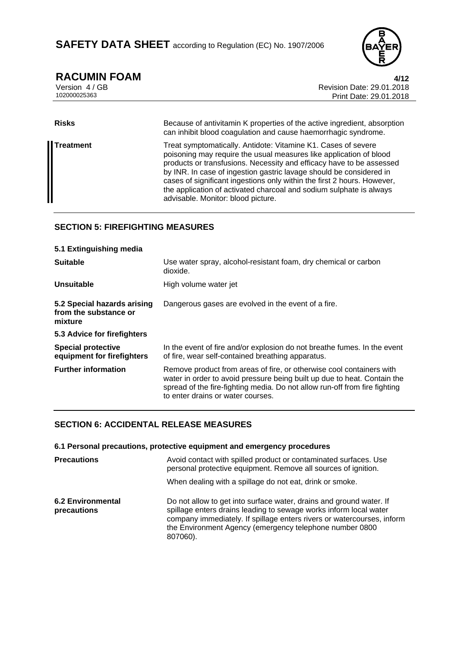

**RACUMIN FOAM** 4/12<br>Version 4/GB 4/12<br>Revision Date: 29.01.2018 Version 4 / GB Revision Date: 29.01.2018 Print Date: 29.01.2018

| <b>Risks</b>     | Because of antivitamin K properties of the active ingredient, absorption<br>can inhibit blood coagulation and cause haemorrhagic syndrome.                                                                                                                                                                                                                                                                                                                                 |
|------------------|----------------------------------------------------------------------------------------------------------------------------------------------------------------------------------------------------------------------------------------------------------------------------------------------------------------------------------------------------------------------------------------------------------------------------------------------------------------------------|
| <b>Treatment</b> | Treat symptomatically. Antidote: Vitamine K1. Cases of severe<br>poisoning may require the usual measures like application of blood<br>products or transfusions. Necessity and efficacy have to be assessed<br>by INR. In case of ingestion gastric lavage should be considered in<br>cases of significant ingestions only within the first 2 hours. However,<br>the application of activated charcoal and sodium sulphate is always<br>advisable. Monitor: blood picture. |

## **SECTION 5: FIREFIGHTING MEASURES**

| 5.1 Extinguishing media                                         |                                                                                                                                                                                                                                                                     |
|-----------------------------------------------------------------|---------------------------------------------------------------------------------------------------------------------------------------------------------------------------------------------------------------------------------------------------------------------|
| <b>Suitable</b>                                                 | Use water spray, alcohol-resistant foam, dry chemical or carbon<br>dioxide.                                                                                                                                                                                         |
| <b>Unsuitable</b>                                               | High volume water jet                                                                                                                                                                                                                                               |
| 5.2 Special hazards arising<br>from the substance or<br>mixture | Dangerous gases are evolved in the event of a fire.                                                                                                                                                                                                                 |
| 5.3 Advice for firefighters                                     |                                                                                                                                                                                                                                                                     |
| <b>Special protective</b><br>equipment for firefighters         | In the event of fire and/or explosion do not breathe fumes. In the event<br>of fire, wear self-contained breathing apparatus.                                                                                                                                       |
| <b>Further information</b>                                      | Remove product from areas of fire, or otherwise cool containers with<br>water in order to avoid pressure being built up due to heat. Contain the<br>spread of the fire-fighting media. Do not allow run-off from fire fighting<br>to enter drains or water courses. |

## **SECTION 6: ACCIDENTAL RELEASE MEASURES**

|                                         | 6.1 Personal precautions, protective equipment and emergency procedures                                                                                                                                                                                                                   |
|-----------------------------------------|-------------------------------------------------------------------------------------------------------------------------------------------------------------------------------------------------------------------------------------------------------------------------------------------|
| <b>Precautions</b>                      | Avoid contact with spilled product or contaminated surfaces. Use<br>personal protective equipment. Remove all sources of ignition.                                                                                                                                                        |
|                                         | When dealing with a spillage do not eat, drink or smoke.                                                                                                                                                                                                                                  |
| <b>6.2 Environmental</b><br>precautions | Do not allow to get into surface water, drains and ground water. If<br>spillage enters drains leading to sewage works inform local water<br>company immediately. If spillage enters rivers or watercourses, inform<br>the Environment Agency (emergency telephone number 0800<br>807060). |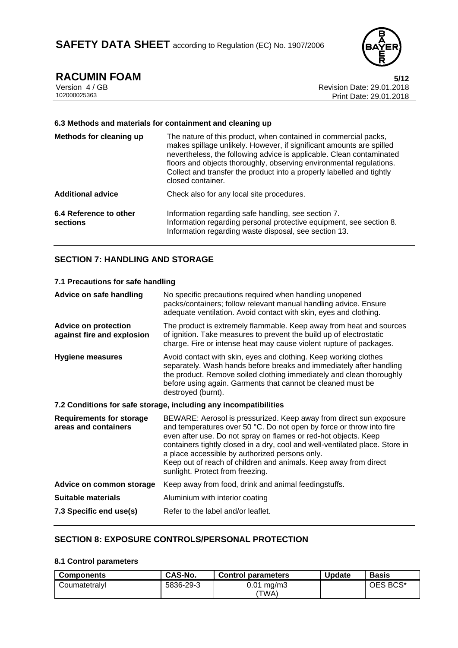

**RACUMIN FOAM** 5/12<br>Version 4/GB 6/12<br>Revision Date: 29.01.2018 Version 4 / GB Revision Date: 29.01.2018 Print Date: 29.01.2018

#### **6.3 Methods and materials for containment and cleaning up**

| Methods for cleaning up            | The nature of this product, when contained in commercial packs,<br>makes spillage unlikely. However, if significant amounts are spilled<br>nevertheless, the following advice is applicable. Clean contaminated<br>floors and objects thoroughly, observing environmental regulations.<br>Collect and transfer the product into a properly labelled and tightly<br>closed container. |
|------------------------------------|--------------------------------------------------------------------------------------------------------------------------------------------------------------------------------------------------------------------------------------------------------------------------------------------------------------------------------------------------------------------------------------|
| <b>Additional advice</b>           | Check also for any local site procedures.                                                                                                                                                                                                                                                                                                                                            |
| 6.4 Reference to other<br>sections | Information regarding safe handling, see section 7.<br>Information regarding personal protective equipment, see section 8.<br>Information regarding waste disposal, see section 13.                                                                                                                                                                                                  |

## **SECTION 7: HANDLING AND STORAGE**

## **7.1 Precautions for safe handling**

| Advice on safe handling                                          | No specific precautions required when handling unopened<br>packs/containers; follow relevant manual handling advice. Ensure<br>adequate ventilation. Avoid contact with skin, eyes and clothing.                                                                                                                                                                                                                                                        |  |
|------------------------------------------------------------------|---------------------------------------------------------------------------------------------------------------------------------------------------------------------------------------------------------------------------------------------------------------------------------------------------------------------------------------------------------------------------------------------------------------------------------------------------------|--|
| <b>Advice on protection</b><br>against fire and explosion        | The product is extremely flammable. Keep away from heat and sources<br>of ignition. Take measures to prevent the build up of electrostatic<br>charge. Fire or intense heat may cause violent rupture of packages.                                                                                                                                                                                                                                       |  |
| <b>Hygiene measures</b>                                          | Avoid contact with skin, eyes and clothing. Keep working clothes<br>separately. Wash hands before breaks and immediately after handling<br>the product. Remove soiled clothing immediately and clean thoroughly<br>before using again. Garments that cannot be cleaned must be<br>destroyed (burnt).                                                                                                                                                    |  |
| 7.2 Conditions for safe storage, including any incompatibilities |                                                                                                                                                                                                                                                                                                                                                                                                                                                         |  |
| <b>Requirements for storage</b><br>areas and containers          | BEWARE: Aerosol is pressurized. Keep away from direct sun exposure<br>and temperatures over 50 °C. Do not open by force or throw into fire<br>even after use. Do not spray on flames or red-hot objects. Keep<br>containers tightly closed in a dry, cool and well-ventilated place. Store in<br>a place accessible by authorized persons only.<br>Keep out of reach of children and animals. Keep away from direct<br>sunlight. Protect from freezing. |  |
| Advice on common storage                                         | Keep away from food, drink and animal feedingstuffs.                                                                                                                                                                                                                                                                                                                                                                                                    |  |
| Suitable materials                                               | Aluminium with interior coating                                                                                                                                                                                                                                                                                                                                                                                                                         |  |
| 7.3 Specific end use(s)                                          | Refer to the label and/or leaflet.                                                                                                                                                                                                                                                                                                                                                                                                                      |  |

## **SECTION 8: EXPOSURE CONTROLS/PERSONAL PROTECTION**

## **8.1 Control parameters**

| <b>Components</b> | CAS-No.   | <b>Control parameters</b>       | Update | <b>Basis</b> |
|-------------------|-----------|---------------------------------|--------|--------------|
| Coumatetralyl     | 5836-29-3 | $0.01 \,\mathrm{mg/m}$<br>'TWA) |        | OES BCS*     |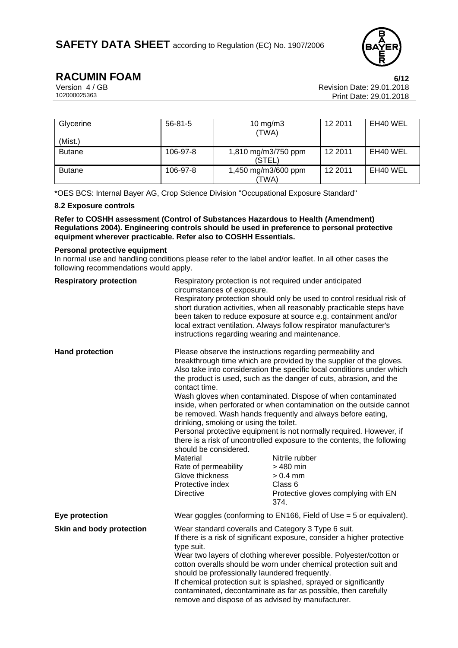

**RACUMIN FOAM** 6/12<br>Version 4/GB<br>Revision Date: 29.01.2018 Version 4 / GB Revision Date: 29.01.2018 Print Date: 29.01.2018

| Glycerine<br>(Mist.) | $56 - 81 - 5$ | 10 mg/m $3$<br>(TWA)          | 12 2011 | EH40 WEL |
|----------------------|---------------|-------------------------------|---------|----------|
| <b>Butane</b>        | 106-97-8      | 1,810 mg/m3/750 ppm<br>(STEL) | 12 2011 | EH40 WEL |
| <b>Butane</b>        | 106-97-8      | 1,450 mg/m3/600 ppm<br>(TWA)  | 12 2011 | EH40 WEL |

\*OES BCS: Internal Bayer AG, Crop Science Division "Occupational Exposure Standard"

## **8.2 Exposure controls**

**Refer to COSHH assessment (Control of Substances Hazardous to Health (Amendment) Regulations 2004). Engineering controls should be used in preference to personal protective equipment wherever practicable. Refer also to COSHH Essentials.**

#### **Personal protective equipment**

In normal use and handling conditions please refer to the label and/or leaflet. In all other cases the following recommendations would apply.

| <b>Respiratory protection</b> | Respiratory protection is not required under anticipated<br>circumstances of exposure.<br>Respiratory protection should only be used to control residual risk of<br>short duration activities, when all reasonably practicable steps have<br>been taken to reduce exposure at source e.g. containment and/or<br>local extract ventilation. Always follow respirator manufacturer's<br>instructions regarding wearing and maintenance.                                                                                                                                                                                                                                                                                                                                                                                                                                                                                               |                                                                     |  |
|-------------------------------|-------------------------------------------------------------------------------------------------------------------------------------------------------------------------------------------------------------------------------------------------------------------------------------------------------------------------------------------------------------------------------------------------------------------------------------------------------------------------------------------------------------------------------------------------------------------------------------------------------------------------------------------------------------------------------------------------------------------------------------------------------------------------------------------------------------------------------------------------------------------------------------------------------------------------------------|---------------------------------------------------------------------|--|
| <b>Hand protection</b>        | Please observe the instructions regarding permeability and<br>breakthrough time which are provided by the supplier of the gloves.<br>Also take into consideration the specific local conditions under which<br>the product is used, such as the danger of cuts, abrasion, and the<br>contact time.<br>Wash gloves when contaminated. Dispose of when contaminated<br>inside, when perforated or when contamination on the outside cannot<br>be removed. Wash hands frequently and always before eating,<br>drinking, smoking or using the toilet.<br>Personal protective equipment is not normally required. However, if<br>there is a risk of uncontrolled exposure to the contents, the following<br>should be considered.<br>Material<br>Nitrile rubber<br>Rate of permeability<br>$>480$ min<br>Glove thickness<br>$> 0.4$ mm<br>Protective index<br>Class 6<br><b>Directive</b><br>Protective gloves complying with EN<br>374. |                                                                     |  |
| Eye protection                |                                                                                                                                                                                                                                                                                                                                                                                                                                                                                                                                                                                                                                                                                                                                                                                                                                                                                                                                     | Wear goggles (conforming to EN166, Field of Use = 5 or equivalent). |  |
| Skin and body protection      | Wear standard coveralls and Category 3 Type 6 suit.<br>If there is a risk of significant exposure, consider a higher protective<br>type suit.<br>Wear two layers of clothing wherever possible. Polyester/cotton or<br>cotton overalls should be worn under chemical protection suit and<br>should be professionally laundered frequently.<br>If chemical protection suit is splashed, sprayed or significantly<br>contaminated, decontaminate as far as possible, then carefully<br>remove and dispose of as advised by manufacturer.                                                                                                                                                                                                                                                                                                                                                                                              |                                                                     |  |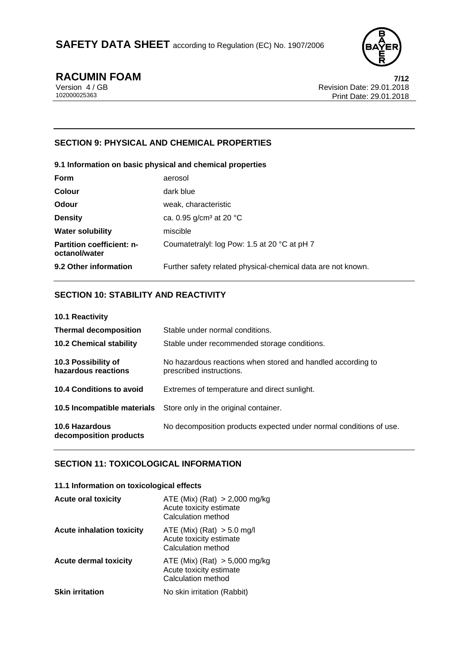

**RACUMIN FOAM** 7/12<br>Version 4/GB Revision Date: 29.01.2018 Version 4 / GB Revision Date: 29.01.2018 Print Date: 29.01.2018

## **SECTION 9: PHYSICAL AND CHEMICAL PROPERTIES**

| 9.1 Information on basic physical and chemical properties |                                                              |  |  |
|-----------------------------------------------------------|--------------------------------------------------------------|--|--|
| <b>Form</b>                                               | aerosol                                                      |  |  |
| <b>Colour</b>                                             | dark blue                                                    |  |  |
| <b>Odour</b>                                              | weak, characteristic                                         |  |  |
| <b>Density</b>                                            | ca. 0.95 $g/cm3$ at 20 °C                                    |  |  |
| <b>Water solubility</b>                                   | miscible                                                     |  |  |
| <b>Partition coefficient: n-</b><br>octanol/water         | Coumatetralyl: log Pow: 1.5 at 20 °C at pH 7                 |  |  |
| 9.2 Other information                                     | Further safety related physical-chemical data are not known. |  |  |

## **SECTION 10: STABILITY AND REACTIVITY**

| 10.1 Reactivity                            |                                                                                         |
|--------------------------------------------|-----------------------------------------------------------------------------------------|
| <b>Thermal decomposition</b>               | Stable under normal conditions.                                                         |
| <b>10.2 Chemical stability</b>             | Stable under recommended storage conditions.                                            |
| 10.3 Possibility of<br>hazardous reactions | No hazardous reactions when stored and handled according to<br>prescribed instructions. |
| 10.4 Conditions to avoid                   | Extremes of temperature and direct sunlight.                                            |
| 10.5 Incompatible materials                | Store only in the original container.                                                   |
| 10.6 Hazardous<br>decomposition products   | No decomposition products expected under normal conditions of use.                      |

## **SECTION 11: TOXICOLOGICAL INFORMATION**

#### **11.1 Information on toxicological effects**

| <b>Acute oral toxicity</b>       | ATE (Mix) (Rat) $>$ 2,000 mg/kg<br>Acute toxicity estimate<br>Calculation method |
|----------------------------------|----------------------------------------------------------------------------------|
| <b>Acute inhalation toxicity</b> | ATE (Mix) (Rat) $> 5.0$ mg/l<br>Acute toxicity estimate<br>Calculation method    |
| <b>Acute dermal toxicity</b>     | ATE (Mix) (Rat) $> 5,000$ mg/kg<br>Acute toxicity estimate<br>Calculation method |
| <b>Skin irritation</b>           | No skin irritation (Rabbit)                                                      |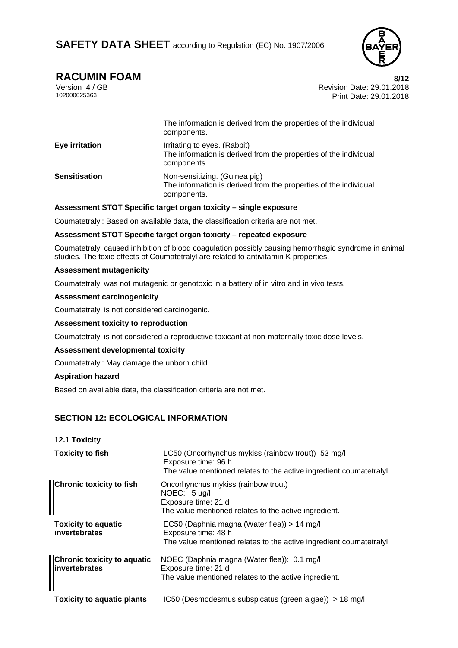

# **RACUMIN FOAM 8/12**

| Version 4/GB |  |
|--------------|--|
| 102000025363 |  |

Revision Date: 29.01.2018 Print Date: 29.01.2018

|                       | The information is derived from the properties of the individual<br>components.                                  |
|-----------------------|------------------------------------------------------------------------------------------------------------------|
| <b>Eye irritation</b> | Irritating to eyes. (Rabbit)<br>The information is derived from the properties of the individual<br>components.  |
| <b>Sensitisation</b>  | Non-sensitizing. (Guinea pig)<br>The information is derived from the properties of the individual<br>components. |

## **Assessment STOT Specific target organ toxicity – single exposure**

Coumatetralyl: Based on available data, the classification criteria are not met.

## **Assessment STOT Specific target organ toxicity – repeated exposure**

Coumatetralyl caused inhibition of blood coagulation possibly causing hemorrhagic syndrome in animal studies. The toxic effects of Coumatetralyl are related to antivitamin K properties.

#### **Assessment mutagenicity**

Coumatetralyl was not mutagenic or genotoxic in a battery of in vitro and in vivo tests.

#### **Assessment carcinogenicity**

Coumatetralyl is not considered carcinogenic.

#### **Assessment toxicity to reproduction**

Coumatetralyl is not considered a reproductive toxicant at non-maternally toxic dose levels.

#### **Assessment developmental toxicity**

Coumatetralyl: May damage the unborn child.

## **Aspiration hazard**

Based on available data, the classification criteria are not met.

## **SECTION 12: ECOLOGICAL INFORMATION**

| <b>Toxicity to fish</b>                             | LC50 (Oncorhynchus mykiss (rainbow trout)) 53 mg/l<br>Exposure time: 96 h<br>The value mentioned relates to the active ingredient coumatetraly. |
|-----------------------------------------------------|-------------------------------------------------------------------------------------------------------------------------------------------------|
| <b>Chronic toxicity to fish</b>                     | Oncorhynchus mykiss (rainbow trout)<br>NOEC: $5 \mu g/l$<br>Exposure time: 21 d<br>The value mentioned relates to the active ingredient.        |
| <b>Toxicity to aquatic</b><br>invertebrates         | EC50 (Daphnia magna (Water flea)) > 14 mg/l<br>Exposure time: 48 h<br>The value mentioned relates to the active ingredient coumatetraly.        |
| <b>Chronic toxicity to aquatic</b><br>invertebrates | NOEC (Daphnia magna (Water flea)): 0.1 mg/l<br>Exposure time: 21 d<br>The value mentioned relates to the active ingredient.                     |
| <b>Toxicity to aquatic plants</b>                   | IC50 (Desmodesmus subspicatus (green algae)) > 18 mg/l                                                                                          |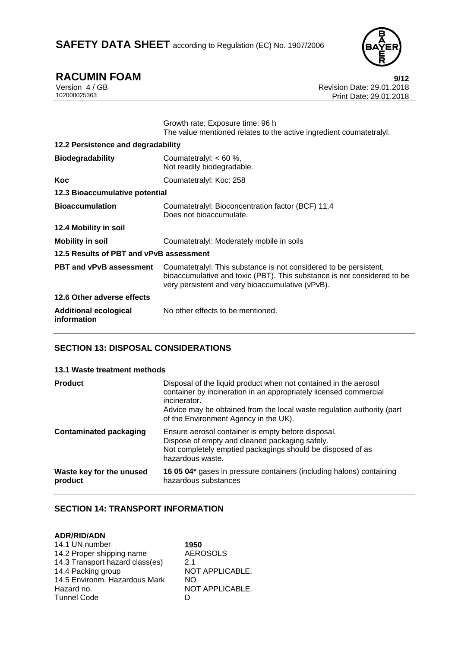

**RACUMIN FOAM** 9/12<br>Version 4/GB<br>Revision Date: 29.01.2018 Version 4 / GB Revision Date: 29.01.2018 Print Date: 29.01.2018

|                                             | Growth rate; Exposure time: 96 h<br>The value mentioned relates to the active ingredient coumatetraly.                                                                                           |
|---------------------------------------------|--------------------------------------------------------------------------------------------------------------------------------------------------------------------------------------------------|
| 12.2 Persistence and degradability          |                                                                                                                                                                                                  |
| <b>Biodegradability</b>                     | Coumatetralyl: < 60 %,<br>Not readily biodegradable.                                                                                                                                             |
| Koc                                         | Coumatetralyl: Koc: 258                                                                                                                                                                          |
| 12.3 Bioaccumulative potential              |                                                                                                                                                                                                  |
| <b>Bioaccumulation</b>                      | Coumatetralyl: Bioconcentration factor (BCF) 11.4<br>Does not bioaccumulate.                                                                                                                     |
| 12.4 Mobility in soil                       |                                                                                                                                                                                                  |
| Mobility in soil                            | Coumatetralyl: Moderately mobile in soils                                                                                                                                                        |
| 12.5 Results of PBT and vPvB assessment     |                                                                                                                                                                                                  |
| PBT and vPvB assessment                     | Coumatetralyl: This substance is not considered to be persistent,<br>bioaccumulative and toxic (PBT). This substance is not considered to be<br>very persistent and very bioaccumulative (vPvB). |
| 12.6 Other adverse effects                  |                                                                                                                                                                                                  |
| <b>Additional ecological</b><br>information | No other effects to be mentioned.                                                                                                                                                                |

## **SECTION 13: DISPOSAL CONSIDERATIONS**

## **13.1 Waste treatment methods**

| <b>Product</b>                      | Disposal of the liquid product when not contained in the aerosol<br>container by incineration in an appropriately licensed commercial<br>incinerator.<br>Advice may be obtained from the local waste regulation authority (part<br>of the Environment Agency in the UK). |
|-------------------------------------|--------------------------------------------------------------------------------------------------------------------------------------------------------------------------------------------------------------------------------------------------------------------------|
| <b>Contaminated packaging</b>       | Ensure aerosol container is empty before disposal.<br>Dispose of empty and cleaned packaging safely.<br>Not completely emptied packagings should be disposed of as<br>hazardous waste.                                                                                   |
| Waste key for the unused<br>product | 16 05 04* gases in pressure containers (including halons) containing<br>hazardous substances                                                                                                                                                                             |

## **SECTION 14: TRANSPORT INFORMATION**

## **ADR/RID/ADN**

| 1950            |
|-----------------|
| <b>AEROSOLS</b> |
| 21              |
| NOT APPLICABLE. |
| NO.             |
| NOT APPLICABLE. |
| D               |
|                 |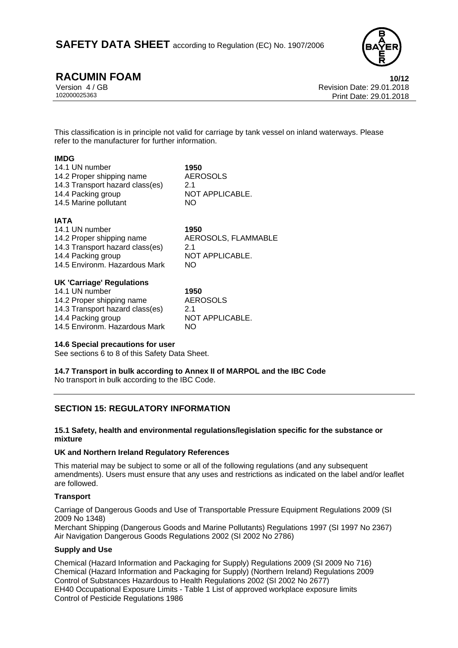

**RACUMIN FOAM 10/12**

Version 4 / GB Revision Date: 29.01.2018 Print Date: 29.01.2018

This classification is in principle not valid for carriage by tank vessel on inland waterways. Please refer to the manufacturer for further information.

## **IMDG**

| 14.1 UN number                  | 1950            |
|---------------------------------|-----------------|
| 14.2 Proper shipping name       | AEROSOLS        |
| 14.3 Transport hazard class(es) | 2.1             |
| 14.4 Packing group              | NOT APPLICABLE. |
| 14.5 Marine pollutant           | NO.             |
|                                 |                 |

## **IATA**

| 14.1 UN number<br>14.2 Proper shipping name<br>14.3 Transport hazard class(es)<br>14.4 Packing group | 1950<br>AEROSOLS, FLAMMABLE<br>21<br>NOT APPLICABLE. |  |  |
|------------------------------------------------------------------------------------------------------|------------------------------------------------------|--|--|
| 14.5 Environm. Hazardous Mark                                                                        | NO.                                                  |  |  |
| UK 'Carriage' Regulations                                                                            |                                                      |  |  |

| 14.1 UN number                  | 195 |
|---------------------------------|-----|
| 14.2 Proper shipping name       | AEI |
| 14.3 Transport hazard class(es) | 2.1 |
| 14.4 Packing group              | NO. |
| 14.5 Environm. Hazardous Mark   | NO. |

14.1 UN number **1950 AEROSOLS** NOT APPLICABLE.

## **14.6 Special precautions for user**

See sections 6 to 8 of this Safety Data Sheet.

**14.7 Transport in bulk according to Annex II of MARPOL and the IBC Code**  No transport in bulk according to the IBC Code.

## **SECTION 15: REGULATORY INFORMATION**

## **15.1 Safety, health and environmental regulations/legislation specific for the substance or mixture**

## **UK and Northern Ireland Regulatory References**

This material may be subject to some or all of the following regulations (and any subsequent amendments). Users must ensure that any uses and restrictions as indicated on the label and/or leaflet are followed.

## **Transport**

Carriage of Dangerous Goods and Use of Transportable Pressure Equipment Regulations 2009 (SI 2009 No 1348)

Merchant Shipping (Dangerous Goods and Marine Pollutants) Regulations 1997 (SI 1997 No 2367) Air Navigation Dangerous Goods Regulations 2002 (SI 2002 No 2786)

## **Supply and Use**

Chemical (Hazard Information and Packaging for Supply) Regulations 2009 (SI 2009 No 716) Chemical (Hazard Information and Packaging for Supply) (Northern Ireland) Regulations 2009 Control of Substances Hazardous to Health Regulations 2002 (SI 2002 No 2677) EH40 Occupational Exposure Limits - Table 1 List of approved workplace exposure limits Control of Pesticide Regulations 1986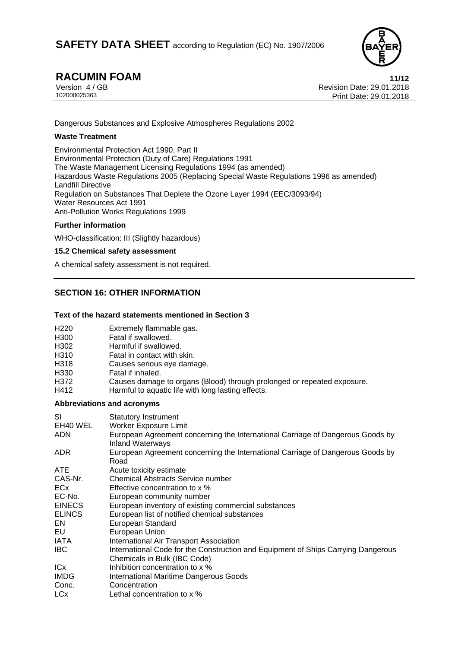

**RACUMIN FOAM** 11/12<br>Version 4/GB 11/12 Version 4 / GB Revision Date: 29.01.2018 Print Date: 29.01.2018

Dangerous Substances and Explosive Atmospheres Regulations 2002

## **Waste Treatment**

Environmental Protection Act 1990, Part II Environmental Protection (Duty of Care) Regulations 1991 The Waste Management Licensing Regulations 1994 (as amended) Hazardous Waste Regulations 2005 (Replacing Special Waste Regulations 1996 as amended) Landfill Directive Regulation on Substances That Deplete the Ozone Layer 1994 (EEC/3093/94) Water Resources Act 1991 Anti-Pollution Works Regulations 1999

## **Further information**

WHO-classification: III (Slightly hazardous)

## **15.2 Chemical safety assessment**

A chemical safety assessment is not required.

## **SECTION 16: OTHER INFORMATION**

## **Text of the hazard statements mentioned in Section 3**

| H <sub>220</sub>           | Extremely flammable gas.                                                |  |
|----------------------------|-------------------------------------------------------------------------|--|
| H300                       | Fatal if swallowed.                                                     |  |
| H302                       | Harmful if swallowed.                                                   |  |
| H310                       | Fatal in contact with skin.                                             |  |
| H318                       | Causes serious eye damage.                                              |  |
| H330                       | Fatal if inhaled.                                                       |  |
| H372                       | Causes damage to organs (Blood) through prolonged or repeated exposure. |  |
| H412                       | Harmful to aquatic life with long lasting effects.                      |  |
| Abbrovistione and acronyme |                                                                         |  |

## **Abbreviations and acronyms**

| SI              | <b>Statutory Instrument</b>                                                                                       |
|-----------------|-------------------------------------------------------------------------------------------------------------------|
| EH40 WEL        | <b>Worker Exposure Limit</b>                                                                                      |
| ADN             | European Agreement concerning the International Carriage of Dangerous Goods by<br><b>Inland Waterways</b>         |
| ADR.            | European Agreement concerning the International Carriage of Dangerous Goods by<br>Road                            |
| <b>ATE</b>      | Acute toxicity estimate                                                                                           |
| CAS-Nr.         | <b>Chemical Abstracts Service number</b>                                                                          |
| <b>ECx</b>      | Effective concentration to x %                                                                                    |
| EC-No.          | European community number                                                                                         |
| <b>EINECS</b>   | European inventory of existing commercial substances                                                              |
| <b>ELINCS</b>   | European list of notified chemical substances                                                                     |
| EN              | European Standard                                                                                                 |
| EU              | European Union                                                                                                    |
| IATA            | International Air Transport Association                                                                           |
| <b>IBC</b>      | International Code for the Construction and Equipment of Ships Carrying Dangerous<br>Chemicals in Bulk (IBC Code) |
| IC <sub>x</sub> | Inhibition concentration to x %                                                                                   |
| <b>IMDG</b>     | International Maritime Dangerous Goods                                                                            |
| Conc.           | Concentration                                                                                                     |
| LCx             | Lethal concentration to x %                                                                                       |